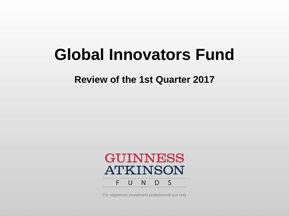# **Global Innovators Fund**

**Review of the 1st Quarter 2017**



For registered investment professional use only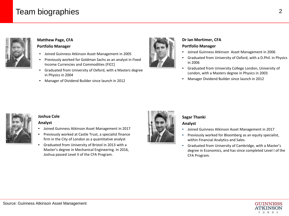## Team biographies 2014 2015 2016 2022 2023 2024 2025 2026 2027 2028 2024 2025 2027 2027 2028 2027 2027 2028 20



#### **Matthew Page, CFA Portfolio Manager**

- Joined Guinness Atkinson Asset Management in 2005
- Previously worked for Goldman Sachs as an analyst in Fixed Income Currencies and Commodities (FICC)
- Graduated from University of Oxford, with a Masters degree in Physics in 2004
- Manager of Dividend Builder since launch in 2012



#### **Dr Ian Mortimer, CFA**

#### **Portfolio Manager**

- Joined Guinness Atkinson Asset Management in 2006
- Graduated from University of Oxford, with a D.Phil. in Physics in 2006
- Graduated from University College London, University of London, with a Masters degree in Physics in 2003
- Manager Dividend Builder since launch in 2012



#### **Joshua Cole**

#### **Analyst**

- Joined Guinness Atkinson Asset Management in 2017
- Previously worked at Castle Trust, a specialist finance firm in the City of London as a quantitative analyst
- Graduated from University of Bristol in 2013 with a Master's degree in Mechanical Engineering. In 2016, Joshua passed Level II of the CFA Program.



#### **Sagar Thanki**

#### **Analyst**

- Joined Guinness Atkinson Asset Management in 2017
- Previously worked for Bloomberg as an equity specialist, within Financial Analytics and Sales
- Graduated from University of Cambridge, with a Master's degree in Economics, and has since completed Level I of the CFA Program*.*

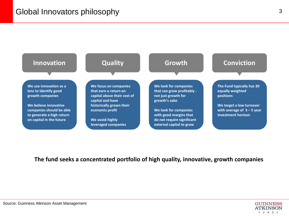

**The fund seeks a concentrated portfolio of high quality, innovative, growth companies**

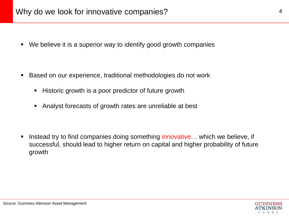We believe it is a superior way to identify good growth companies

- Based on our experience, traditional methodologies do not work
	- Historic growth is a poor predictor of future growth
	- Analyst forecasts of growth rates are unreliable at best

Instead try to find companies doing something innovative... which we believe, if successful, should lead to higher return on capital and higher probability of future growth

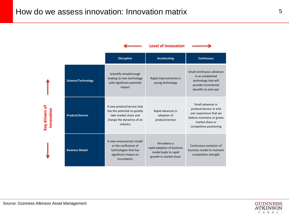

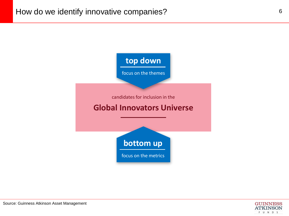

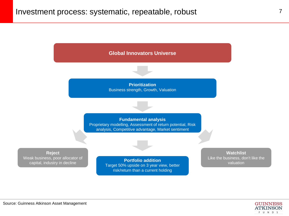

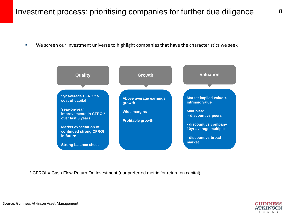We screen our investment universe to highlight companies that have the characteristics we seek



\* CFROI = Cash Flow Return On Investment (our preferred metric for return on capital)

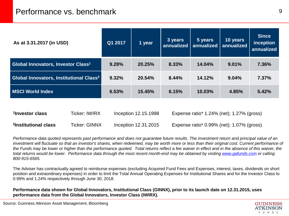| As at 3.31.2017 (in USD)                                  | Q1 2017 | 1 year | 3 years | 5 years<br>annualized   annualized | 10 years<br>annualized | <b>Since</b><br>inception<br>annualized |
|-----------------------------------------------------------|---------|--------|---------|------------------------------------|------------------------|-----------------------------------------|
| Global Innovators, Investor Class <sup>1</sup>            | 9.28%   | 20.25% | 8.33%   | 14.04%                             | 9.01%                  | 7.36%                                   |
| <b>Global Innovators, Institutional Class<sup>2</sup></b> | 9.32%   | 20.54% | 8.44%   | 14.12%                             | 9.04%                  | 7.37%                                   |
| <b>MSCI World Index</b>                                   | 6.53%   | 15.45% | 6.15%   | 10.03%                             | 4.85%                  | 5.42%                                   |
|                                                           |         |        |         |                                    |                        |                                         |

| <sup>1</sup> Investor class      | Ticker: IWIRX        | Inception 12.15.1998 | Expense ratio* 1.24% (net); 1.27% (gross)       |
|----------------------------------|----------------------|----------------------|-------------------------------------------------|
| <sup>2</sup> Institutional class | <b>Ticker: GINNX</b> | Inception 12.31.2015 | Expense ratio* $0.99\%$ (net); $1.07\%$ (gross) |

*Performance data quoted represents past performance and does not guarantee future results. The investment return and principal value of an*  investment will fluctuate so that an investor's shares, when redeemed, may be worth more or less than their original cost. Current performance of *the Funds may be lower or higher than the performance quoted. Total returns reflect a fee waiver in effect and in the absence of this waiver, the total returns would be lower. Performance data through the most recent month-end may be obtained by visiting [www.gafunds.com](http://www.gafunds.com/) or calling 800-915-6565.* 

The Adviser has contractually agreed to reimburse expenses (excluding Acquired Fund Fees and Expenses, interest, taxes, dividends on short position and extraordinary expenses) in order to limit the Total Annual Operating Expenses for Institutional Shares and for the Investor Class to 0.99% and 1.24% respectively through June 30, 2018.

**Performance data shown for Global Innovators, Institutional Class (GINNX), prior to its launch date on 12.31.2015, uses performance data from the Global Innovators, Investor Class (IWIRX).** 

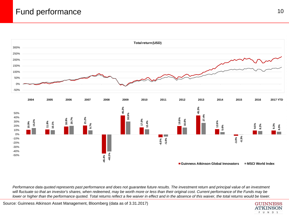## Fund performance and the set of the set of the set of the set of the set of the set of the set of the set of the set of the set of the set of the set of the set of the set of the set of the set of the set of the set of the



Performance data quoted represents past performance and does not quarantee future results. The investment return and principal value of an investment *will fluctuate so that an investor's shares, when redeemed, may be worth more or less than their original cost. Current performance of the Funds may be*  lower or higher than the performance quoted. Total returns reflect a fee waiver in effect and in the absence of this waiver, the total returns would be lower.

Source: Guinness Atkinson Asset Management, Bloomberg (data as of 3.31.2017)

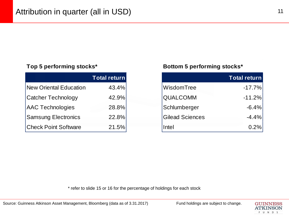|                             | Total return |
|-----------------------------|--------------|
| New Oriental Education      | 43.4%        |
| <b>Catcher Technology</b>   | 42.9%        |
| <b>AAC Technologies</b>     | 28.8%        |
| <b>Samsung Electronics</b>  | 22.8%        |
| <b>Check Point Software</b> | 21.5%        |

#### **Top 5 performing stocks\* Bottom 5 performing stocks\***

| <b>Total return</b> |                        | <b>Total return</b> |
|---------------------|------------------------|---------------------|
| 43.4%               | WisdomTree             | $-17.7%$            |
| 42.9%               | <b>QUALCOMM</b>        | $-11.2%$            |
| 28.8%               | Schlumberger           |                     |
| 22.8%               | <b>Gilead Sciences</b> |                     |
| 21.5%               | Intel                  |                     |

\* refer to slide 15 or 16 for the percentage of holdings for each stock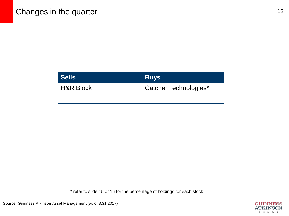| <b>Sells</b>         | <b>Buys</b>           |
|----------------------|-----------------------|
| <b>H&amp;R Block</b> | Catcher Technologies* |
|                      |                       |

\* refer to slide 15 or 16 for the percentage of holdings for each stock

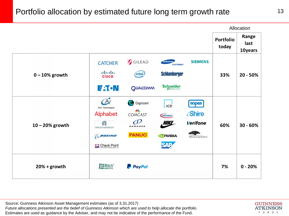## Portfolio allocation by estimated future long term growth rate 13



Source: Guinness Atkinson Asset Management estimates (as of 3.31.2017) *Future allocations presented are the belief of Guinness Atkinson which are used to help allocate the portfolio*. Estimates are used as guidance by the Adviser, and may not be indicative of the performance of the Fund.

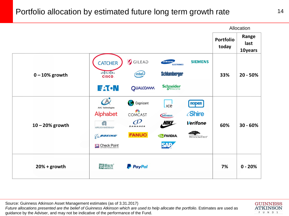## Portfolio allocation by estimated future long term growth rate 14



Source: Guinness Atkinson Asset Management estimates (as of 3.31.2017) Future allocations presented are the belief of Guinness Atkinson which are used to help allocate the portfolio. Estimates are used as guidance by the Adviser, and may not be indicative of the performance of the Fund.

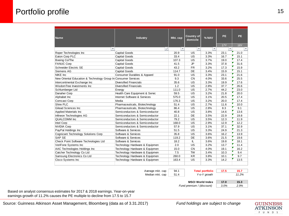## Portfolio profile 15

| Name                                                           | Industry                       | Mkt. cap                | Country of<br>domicile   | % NAV                    | PE         | <b>PE</b>  |
|----------------------------------------------------------------|--------------------------------|-------------------------|--------------------------|--------------------------|------------|------------|
|                                                                |                                |                         |                          |                          | <b>17Y</b> | <b>18Y</b> |
| Ψ                                                              | ٠t                             | $\overline{\mathbf{v}}$ | $\overline{\phantom{a}}$ | $\overline{\phantom{a}}$ |            |            |
| Roper Technologies Inc                                         | <b>Capital Goods</b>           | 20.9                    | US                       | 3.3%                     | 23.1       | 21.0       |
| Eaton Corp PLC                                                 | <b>Capital Goods</b>           | 33.4                    | US                       | 3.3%                     | 16.7       | 15.1       |
| Boeing Co/The                                                  | <b>Capital Goods</b>           | 107.3                   | US                       | 3.7%                     | 19.0       | 17.4       |
| <b>FANUC Corp</b>                                              | <b>Capital Goods</b>           | 41.5                    | JP                       | 3.3%                     | 37.8       | 31.6       |
| Schneider Electric SE                                          | <b>Capital Goods</b>           | 43.2                    | <b>FR</b>                | 3.2%                     | 17.3       | 15.9       |
| Siemens AG                                                     | <b>Capital Goods</b>           | 114.7                   | DE                       | 3.4%                     | 15.9       | 15.1       |
| <b>NIKE</b> Inc                                                | Consumer Durables & Apparel    | 91.0                    | US                       | 3.3%                     | 23.1       | 21.6       |
| New Oriental Education & Technology Group In Consumer Services |                                | 9.3                     | <b>CN</b>                | 4.0%                     | 33.6       | 25.5       |
| Intercontinental Exchange Inc                                  | Diversified Financials         | 35.6                    | US                       | 3.3%                     | 19.9       | 17.6       |
| WisdomTree Investments Inc                                     | <b>Diversified Financials</b>  | 1.2                     | <b>US</b>                | 2.8%                     | 37.7       | 26.6       |
| Schlumberger Ltd                                               | Energy                         | 111.0                   | <b>US</b>                | 2.7%                     | 44.2       | 23.0       |
| Danaher Corp                                                   | Health Care Equipment & Servic | 59.5                    | US                       | 3.2%                     | 21.8       | 20.0       |
| Alphabet Inc                                                   | Internet Software & Services   | 575.0                   | US                       | 3.1%                     | 20.5       | 17.4       |
| <b>Comcast Corp</b>                                            | Media                          | 176.3                   | US                       | 3.2%                     | 20.0       | 17.4       |
| Shire PLC                                                      | Pharmaceuticals, Biotechnology | 51.4                    | US                       | 2.7%                     | 11.6       | 10.0       |
| Gilead Sciences Inc.                                           | Pharmaceuticals, Biotechnology | 86.4                    | US                       | 2.8%                     | 8.3        | 9.1        |
| Applied Materials Inc                                          | Semiconductors & Semiconductor | 40.8                    | US                       | 3.8%                     | 14.6       | 13.6       |
| Infineon Technologies AG                                       | Semiconductors & Semiconductor | 22.1                    | DE                       | 3.5%                     | 22.9       | 19.8       |
| QUALCOMM Inc                                                   | Semiconductors & Semiconductor | 79.2                    | US                       | 3.5%                     | 12.3       | 11.9       |
| Intel Corp                                                     | Semiconductors & Semiconductor | 168.0                   | US                       | 2.9%                     | 12.9       | 12.2       |
| <b>NVIDIA Corp</b>                                             | Semiconductors & Semiconductor | 57.9                    | US                       | 3.1%                     | 37.1       | 32.9       |
| PayPal Holdings Inc                                            | Software & Services            | 51.5                    | US                       | 3.3%                     | 24.9       | 21.3       |
| Cognizant Technology Solutions Corp                            | Software & Services            | 35.8                    | US                       | 3.6%                     | 16.2       | 13.9       |
| <b>SAP SE</b>                                                  | Software & Services            | 119.2                   | DE                       | 3.6%                     | 21.5       | 19.6       |
| Check Point Software Technologies Ltd                          | Software & Services            | 18.2                    | IL                       | 3.6%                     | 19.8       | 18.1       |
| VeriFone Systems Inc                                           | Technology Hardware & Equipmen | 2.0                     | US                       | 3.2%                     | 13.7       | 11.4       |
| AAC Technologies Holdings Inc                                  | Technology Hardware & Equipmen | 15.0                    | <b>CN</b>                | 4.0%                     | 19.1       | 16.2       |
| Catcher Technology Co Ltd                                      | Technology Hardware & Equipmen | 7.5                     | <b>TW</b>                | 3.4%                     | 10.3       | 9.4        |
| Samsung Electronics Co Ltd                                     | Technology Hardware & Equipmen | 260.0                   | <b>KR</b>                | 3.8%                     | 10.1       | 9.7        |
| Cisco Systems Inc                                              | Technology Hardware & Equipmen | 163.4                   | US                       | 3.3%                     | 14.2       | 13.5       |
|                                                                |                                |                         |                          |                          |            |            |

Average mkt. cap **94.1 Total portfolio 17.5 15.7**<br>Median mkt. cap 51.4 Y-o-Y growth 11.2% Median mkt. cap 51.4

**MSCI World Index 17.0 15.3**<br>**15.3** *19%* 15.3 *19%* 15.9% *Fund premium / (discount)* 

Based on analyst consensus estimates for 2017 & 2018 earnings. Year-on-year earnings growth of 11.2% causes the PE multiple to decline from 17.5 to 15.7

Source: Guinness Atkinson Asset Management, Bloomberg (data as of 3.31.2017) *Fund holdings are subject to change*

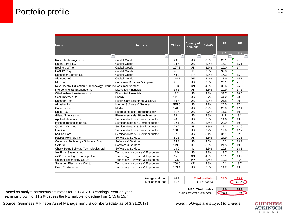|                                                                |                                |                         | Country of |                         | <b>PE</b>               | PE.                      |
|----------------------------------------------------------------|--------------------------------|-------------------------|------------|-------------------------|-------------------------|--------------------------|
| Name                                                           | Industry                       | Mkt. cap                | domicile   | % NAV                   |                         |                          |
|                                                                |                                |                         |            |                         | <b>17Y</b>              | <b>18Y</b>               |
| $\overline{\mathbf{v}}$                                        | ÷ţ                             | $\overline{\mathbf{v}}$ | v          | $\overline{\mathbf{v}}$ | $\overline{\mathbf{v}}$ | $\overline{\phantom{a}}$ |
| Roper Technologies Inc                                         | <b>Capital Goods</b>           | 20.9                    | US         | 3.3%                    | 23.1                    | 21.0                     |
| Eaton Corp PLC                                                 | <b>Capital Goods</b>           | 33.4                    | <b>US</b>  | 3.3%                    | 16.7                    | 15.1                     |
| Boeing Co/The                                                  | <b>Capital Goods</b>           | 107.3                   | US         | 3.7%                    | 19.0                    | 17.4                     |
| <b>FANUC Corp</b>                                              | <b>Capital Goods</b>           | 41.5                    | <b>JP</b>  | 3.3%                    | 37.8                    | 31.6                     |
| Schneider Electric SE                                          | Capital Goods                  | 43.2                    | <b>FR</b>  | 3.2%                    | 17.3                    | 15.9                     |
| Siemens AG                                                     | <b>Capital Goods</b>           | 114.7                   | DE         | 3.4%                    | 15.9                    | 15.1                     |
| NIKE Inc                                                       | Consumer Durables & Apparel    | 91.0                    | US         | 3.3%                    | 23.1                    | 21.6                     |
| New Oriental Education & Technology Group In Consumer Services |                                | 9.3                     | <b>CN</b>  | 4.0%                    | 33.6                    | 25.5                     |
| Intercontinental Exchange Inc                                  | <b>Diversified Financials</b>  | 35.6                    | US         | 3.3%                    | 19.9                    | 17.6                     |
| WisdomTree Investments Inc                                     | <b>Diversified Financials</b>  | 1.2                     | US         | 2.8%                    | 37.7                    | 26.6                     |
| Schlumberger Ltd                                               | Energy                         | 111.0                   | US         | 2.7%                    | 44.2                    | 23.0                     |
| Danaher Corp                                                   | Health Care Equipment & Servic | 59.5                    | US         | 3.2%                    | 21.8                    | 20.0                     |
| Alphabet Inc                                                   | Internet Software & Services   | 575.0                   | US         | 3.1%                    | 20.5                    | 17.4                     |
| <b>Comcast Corp</b>                                            | Media                          | 176.3                   | US         | 3.2%                    | 20.0                    | 17.4                     |
| Shire PLC                                                      | Pharmaceuticals, Biotechnology | 51.4                    | <b>US</b>  | 2.7%                    | 11.6                    | 10.0                     |
| <b>Gilead Sciences Inc.</b>                                    | Pharmaceuticals, Biotechnology | 86.4                    | US         | 2.8%                    | 8.3                     | 9.1                      |
| Applied Materials Inc                                          | Semiconductors & Semiconductor | 40.8                    | US         | 3.8%                    | 14.6                    | 13.6                     |
| Infineon Technologies AG                                       | Semiconductors & Semiconductor | 22.1                    | DE         | 3.5%                    | 22.9                    | 19.8                     |
| QUALCOMM Inc                                                   | Semiconductors & Semiconductor | 79.2                    | US         | 3.5%                    | 12.3                    | 11.9                     |
| Intel Corp                                                     | Semiconductors & Semiconductor | 168.0                   | US         | 2.9%                    | 12.9                    | 12.2                     |
| <b>NVIDIA Corp</b>                                             | Semiconductors & Semiconductor | 57.9                    | US         | 3.1%                    | 37.1                    | 32.9                     |
| PayPal Holdings Inc                                            | Software & Services            | 51.5                    | US         | 3.3%                    | 24.9                    | 21.3                     |
| Cognizant Technology Solutions Corp                            | Software & Services            | 35.8                    | US         | 3.6%                    | 16.2                    | 13.9                     |
| <b>SAP SE</b>                                                  | Software & Services            | 119.2                   | DE         | 3.6%                    | 21.5                    | 19.6                     |
| Check Point Software Technologies Ltd                          | Software & Services            | 18.2                    | IL         | 3.6%                    | 19.8                    | 18.1                     |
| VeriFone Systems Inc                                           | Technology Hardware & Equipmen | 2.0                     | US         | 3.2%                    | 13.7                    | 11.4                     |
| AAC Technologies Holdings Inc                                  | Technology Hardware & Equipmen | 15.0                    | <b>CN</b>  | 4.0%                    | 19.1                    | 16.2                     |
| Catcher Technology Co Ltd                                      | Technology Hardware & Equipmen | 7.5                     | <b>TW</b>  | 3.4%                    | 10.3                    | 9.4                      |
| Samsung Electronics Co Ltd                                     | Technology Hardware & Equipmen | 260.0                   | <b>KR</b>  | 3.8%                    | 10.1                    | 9.7                      |
| Cisco Systems Inc                                              | Technology Hardware & Equipmen | 163.4                   | <b>US</b>  | 3.3%                    | 14.2                    | 13.5                     |
|                                                                |                                |                         |            |                         |                         |                          |
|                                                                | Average mkt. cap               | 94.1                    |            | <b>Total portfolio</b>  | 17.5                    | 15.7                     |
|                                                                | Median mkt. cap                | 51.4                    |            | Y-o-Y arowth            |                         | 11.2%                    |

Based on analyst consensus estimates for 2017 & 2018 earnings. Year-on-year earnings growth of 11.2% causes the PE multiple to decline from 17.5 to 15.7



Source: Guinness Atkinson Asset Management, Bloomberg (data as of 3.31.2017) *Fund holdings are subject to change*

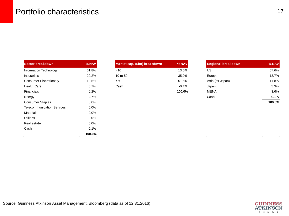| Sector breakdown                  | % NAV   | Market cap. (\$bn) breakdown | % NAV                           | <b>Regional breakdown</b> | % NAV   |
|-----------------------------------|---------|------------------------------|---------------------------------|---------------------------|---------|
| Information Technology            | 51.8%   | $<$ 10                       | 13.5%                           | US                        | 67.6%   |
| Industrials                       | 20.2%   | 10 to 50                     | 35.0%                           | Europe                    | 13.7%   |
| <b>Consumer Discretionary</b>     | 10.5%   | >50                          | 51.5%                           | Asia (ex Japan)           | 11.8%   |
| <b>Health Care</b>                | 8.7%    | Cash                         | $-0.1%$                         | Japan                     | 3.3%    |
| Financials                        | 6.2%    |                              | 100.0%                          | <b>MENA</b>               | 3.6%    |
| Energy                            | 2.7%    |                              |                                 | Cash                      | $-0.1%$ |
| <b>Consumer Staples</b>           | $0.0\%$ |                              |                                 |                           | 100.0%  |
| <b>Telecommunication Services</b> | $0.0\%$ |                              |                                 |                           |         |
| Materials                         | $0.0\%$ |                              |                                 |                           |         |
| <b>Utilities</b>                  | $0.0\%$ |                              |                                 |                           |         |
| Real estate                       | $0.0\%$ |                              |                                 |                           |         |
| Cash                              | $-0.1%$ |                              |                                 |                           |         |
|                                   | 100.0%  |                              | and the con-<br>$\sim 10^{-11}$ | $\sim$ 100 $\mu$          |         |

| Sector breakdown       | $%$ NAV $ $ | Market cap. (\$bn) breakdown | % NAV   | <b>Regional breakdown</b> | $%$ NAV |
|------------------------|-------------|------------------------------|---------|---------------------------|---------|
| Information Technology | 51.8%       | ~10                          | 13.5%   | US                        | 67.6%   |
| <b>Industrials</b>     | 20.2%       | 10 to 50                     | 35.0%   | Europe                    | 13.7%   |
| Consumer Discretionary | 10.5%       | >50                          | 51.5%   | Asia (ex Japan)           | 11.8%   |
| Health Care            | 8.7%        | Cash                         | $-0.1%$ | Japan                     | 3.3%    |
| <b>Financials</b>      | 6.2%        |                              | 100.0%  | <b>MENA</b>               | 3.6%    |
|                        |             |                              |         |                           |         |

| Sector breakdown        | $%$ NAV | Market cap. (\$bn) breakdown | % NAV    | <b>Regional breakdown</b> | % NAV   |
|-------------------------|---------|------------------------------|----------|---------------------------|---------|
| Information Technology  | 51.8%   | $<$ 10                       | 13.5%    | US                        | 67.6%   |
| <b>Industrials</b>      | 20.2%   | 10 to 50                     | 35.0%    | Europe                    | 13.7%   |
| Consumer Discretionary  | 10.5%   | >50                          | 51.5%    | Asia (ex Japan)           | 11.8%   |
| <b>Health Care</b>      | 8.7%    | Cash                         | $-0.1\%$ | Japan                     |         |
| <b>Financials</b>       | 6.2%    |                              | 100.0%   | <b>MENA</b>               |         |
| Energy                  | 2.7%    |                              |          | Cash                      | $-0.1%$ |
| <b>Consumer Staples</b> | 0.0%    |                              |          |                           | 100.0%  |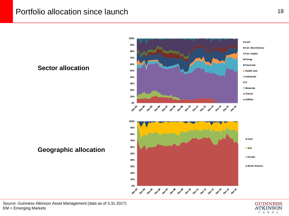## Portfolio allocation since launch 18



#### **Sector allocation**

**Geographic allocation**



Source: Guinness Atkinson Asset Management (data as of 3.31.2017) EM = Emerging Markets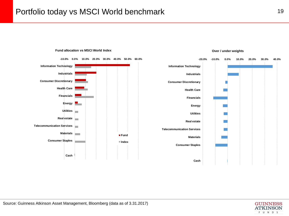## Portfolio today vs MSCI World benchmark 19







**Over / under weights**

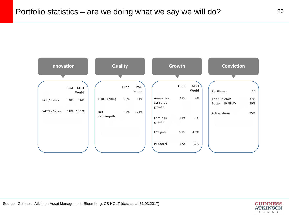

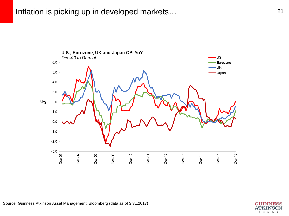

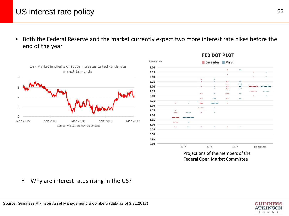## US interest rate policy 22

▪ Both the Federal Reserve and the market currently expect two more interest rate hikes before the end of the year



| Percent rate |           |          | m         | December March |           |                   |   |            |
|--------------|-----------|----------|-----------|----------------|-----------|-------------------|---|------------|
| 4.00         |           |          |           |                |           |                   |   |            |
| 3.75         |           |          |           |                | ۰         | 00                | ۰ | ۰          |
|              |           |          |           |                | ö         |                   |   |            |
| 3.50         |           |          |           |                |           |                   | ۰ | ۰          |
| 3.25         |           |          | ۰<br>۰    | ۰<br>۰         | 66        | 00                |   |            |
|              |           |          |           |                | $\bullet$ | 000               |   |            |
| 3.00         |           |          | ۰         | ٠              | $\bullet$ | $\bullet \bullet$ |   |            |
| 2.75         |           |          |           | ۰              | $\bullet$ | 000               |   | 00000      |
|              |           |          | 00        | ۰              | 000       | 00                |   |            |
| 2.50         |           |          |           |                |           |                   | ۰ | ۰          |
| 2.25         |           |          | 00        | 000            | 00        | 0.0               |   |            |
|              | $\bullet$ | $\alpha$ |           |                | ۰         |                   |   |            |
| 2.00         |           |          |           | ٠              |           |                   |   |            |
| 1.75         | ۰         |          |           |                |           |                   |   |            |
|              |           |          | o.        | ×              |           |                   |   |            |
| 1.50         |           |          |           |                |           |                   |   |            |
| 1.25         | 0000      | ۰        |           |                |           |                   |   |            |
| 1.00         |           |          |           |                |           |                   |   |            |
|              | 00        | 0.0      | $\bullet$ | $\circ$        | $\bullet$ | $\circ$           |   |            |
| 0.75         |           |          |           |                |           |                   |   |            |
| 0.50         |           |          |           |                |           |                   |   |            |
| 0.25         |           |          |           |                |           |                   |   |            |
|              |           |          |           |                |           |                   |   |            |
| 0.00         |           |          |           |                |           |                   |   |            |
|              |           | 2017     |           | 2018           |           | 2019              |   | Longer run |

**FED DOT PLOT** 

Projections of the members of the Federal Open Market Committee

**Why are interest rates rising in the US?** 

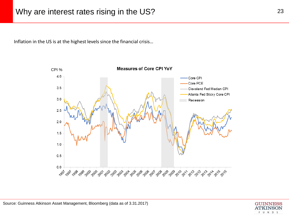Inflation in the US is at the highest levels since the financial crisis…



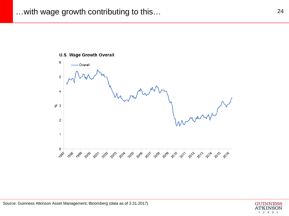#### **U.S. Wage Growth Overall**

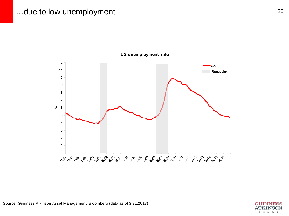## ...due to low unemployment 25

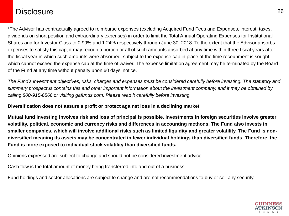## **Disclosure**

\*The Advisor has contractually agreed to reimburse expenses (excluding Acquired Fund Fees and Expenses, interest, taxes, dividends on short position and extraordinary expenses) in order to limit the Total Annual Operating Expenses for Institutional Shares and for Investor Class to 0.99% and 1.24% respectively through June 30, 2018. To the extent that the Advisor absorbs expenses to satisfy this cap, it may recoup a portion or all of such amounts absorbed at any time within three fiscal years after the fiscal year in which such amounts were absorbed, subject to the expense cap in place at the time recoupment is sought, which cannot exceed the expense cap at the time of waiver. The expense limitation agreement may be terminated by the Board of the Fund at any time without penalty upon 60 days' notice.

*The Fund's investment objectives, risks, charges and expenses must be considered carefully before investing. The statutory and summary prospectus contains this and other important information about the investment company, and it may be obtained by calling 800-915-6566 or visiting gafunds.com. Please read it carefully before investing.* 

#### **Diversification does not assure a profit or protect against loss in a declining market**

**Mutual fund investing involves risk and loss of principal is possible. Investments in foreign securities involve greater volatility, political, economic and currency risks and differences in accounting methods. The Fund also invests in smaller companies, which will involve additional risks such as limited liquidity and greater volatility. The Fund is nondiversified meaning its assets may be concentrated in fewer individual holdings than diversified funds. Therefore, the Fund is more exposed to individual stock volatility than diversified funds.**

Opinions expressed are subject to change and should not be considered investment advice.

Cash flow is the total amount of money being transferred into and out of a business.

Fund holdings and sector allocations are subject to change and are not recommendations to buy or sell any security.